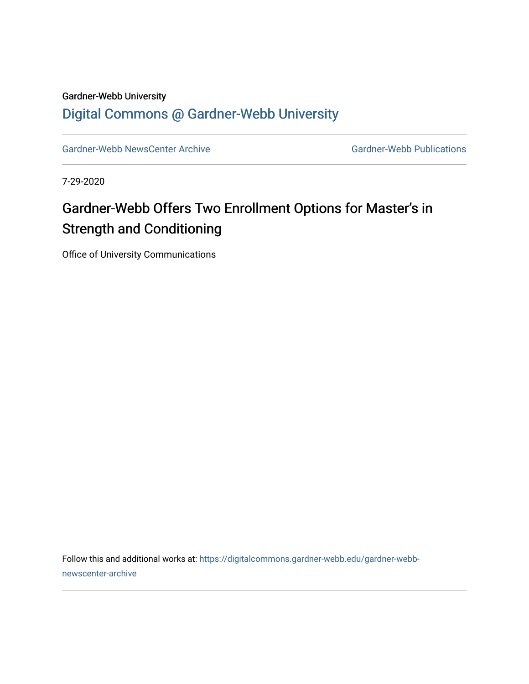### Gardner-Webb University [Digital Commons @ Gardner-Webb University](https://digitalcommons.gardner-webb.edu/)

[Gardner-Webb NewsCenter Archive](https://digitalcommons.gardner-webb.edu/gardner-webb-newscenter-archive) Gardner-Webb Publications

7-29-2020

# Gardner-Webb Offers Two Enrollment Options for Master's in Strength and Conditioning

Office of University Communications

Follow this and additional works at: [https://digitalcommons.gardner-webb.edu/gardner-webb](https://digitalcommons.gardner-webb.edu/gardner-webb-newscenter-archive?utm_source=digitalcommons.gardner-webb.edu%2Fgardner-webb-newscenter-archive%2F18&utm_medium=PDF&utm_campaign=PDFCoverPages)[newscenter-archive](https://digitalcommons.gardner-webb.edu/gardner-webb-newscenter-archive?utm_source=digitalcommons.gardner-webb.edu%2Fgardner-webb-newscenter-archive%2F18&utm_medium=PDF&utm_campaign=PDFCoverPages)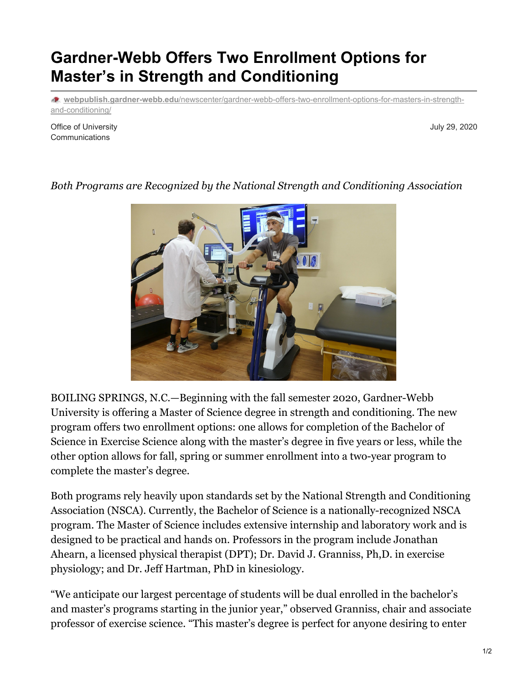## **Gardner-Webb Offers Two Enrollment Options for Master's in Strength and Conditioning**

**webpublish.gardner-webb.edu**[/newscenter/gardner-webb-offers-two-enrollment-options-for-masters-in-strength](https://webpublish.gardner-webb.edu/newscenter/gardner-webb-offers-two-enrollment-options-for-masters-in-strength-and-conditioning/)and-conditioning/

Office of University **Communications** 

July 29, 2020

#### *Both Programs are Recognized by the National Strength and Conditioning Association*

BOILING SPRINGS, N.C.—Beginning with the fall semester 2020, Gardner-Webb University is offering a Master of Science degree in strength and conditioning. The new program offers two enrollment options: one allows for completion of the Bachelor of Science in Exercise Science along with the master's degree in five years or less, while the other option allows for fall, spring or summer enrollment into a two-year program to complete the master's degree.

Both programs rely heavily upon standards set by the National Strength and Conditioning Association (NSCA). Currently, the Bachelor of Science is a nationally-recognized NSCA program. The Master of Science includes extensive internship and laboratory work and is designed to be practical and hands on. Professors in the program include Jonathan Ahearn, a licensed physical therapist (DPT); Dr. David J. Granniss, Ph,D. in exercise physiology; and Dr. Jeff Hartman, PhD in kinesiology.

"We anticipate our largest percentage of students will be dual enrolled in the bachelor's and master's programs starting in the junior year," observed Granniss, chair and associate professor of exercise science. "This master's degree is perfect for anyone desiring to enter